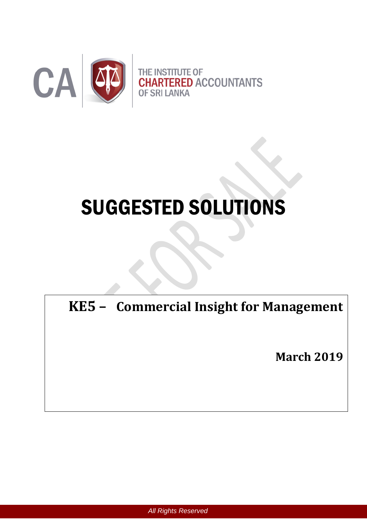

# SUGGESTED SOLUTIONS

**KE5 – Commercial Insight for Management**

**March 2019**

*All Rights Reserved*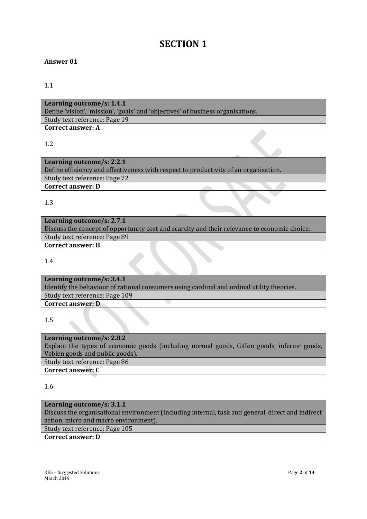# **SECTION 1**

#### **Answer 01**

#### 1.1

**Learning outcome/s: 1.4.1** Define 'vision', 'mission', 'goals' and 'objectives' of business organisations. Study text reference: Page 19 **Correct answer: A**

#### 1.2

| Learning outcome/s: 2.2.1                                                            |  |
|--------------------------------------------------------------------------------------|--|
| Define efficiency and effectiveness with respect to productivity of an organisation. |  |
| Study text reference: Page 72                                                        |  |
| <b>Correct answer: D</b>                                                             |  |

1.3

**Learning outcome/s: 2.7.1** Discuss the concept of opportunity cost and scarcity and their relevance to economic choice. Study text reference: Page 89 **Correct answer: B**

1.4

**Learning outcome/s: 3.4.1** Identify the behaviour of rational consumers using cardinal and ordinal utility theories. Study text reference: Page 109 **Correct answer: D**

1.5

**Learning outcome/s: 2.8.2** Explain the types of economic goods (including normal goods, Giffen goods, inferior goods, Veblen goods and public goods). Study text reference: Page 86 **Correct answer: C**

1.6

## **Learning outcome/s: 3.1.1**

Discuss the organisational environment (including internal, task and general, direct and indirect action, micro and macro environment).

Study text reference: Page 105

#### **Correct answer: D**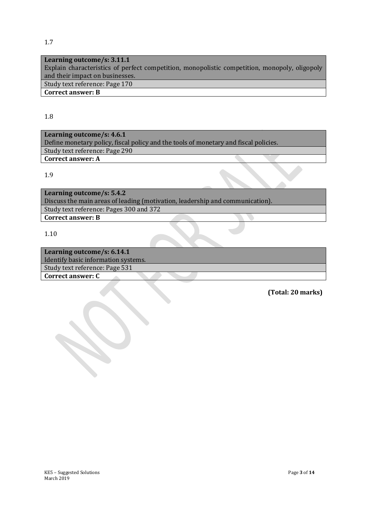**Learning outcome/s: 3.11.1** Explain characteristics of perfect competition, monopolistic competition, monopoly, oligopoly and their impact on businesses. Study text reference: Page 170

## **Correct answer: B**

#### 1.8

**Learning outcome/s: 4.6.1** Define monetary policy, fiscal policy and the tools of monetary and fiscal policies. Study text reference: Page 290 **Correct answer: A**

#### 1.9

**Learning outcome/s: 5.4.2** Discuss the main areas of leading (motivation, leadership and communication). Study text reference: Pages 300 and 372 **Correct answer: B**

1.10

| Learning outcome/s: 6.14.1          |  |
|-------------------------------------|--|
| Identify basic information systems. |  |
| Study text reference: Page 531      |  |
| <b>Correct answer: C</b>            |  |
|                                     |  |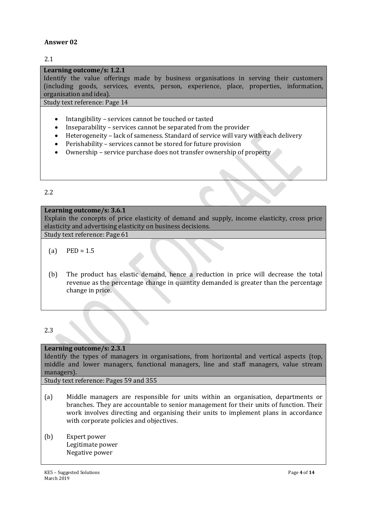#### 2.1

#### **Learning outcome/s: 1.2.1**

Identify the value offerings made by business organisations in serving their customers (including goods, services, events, person, experience, place, properties, information, organisation and idea).

Study text reference: Page 14

- Intangibility services cannot be touched or tasted
- Inseparability services cannot be separated from the provider
- Heterogeneity lack of sameness. Standard of service will vary with each delivery
- Perishability services cannot be stored for future provision
- Ownership service purchase does not transfer ownership of property

#### 2.2

#### **Learning outcome/s: 3.6.1**

Explain the concepts of price elasticity of demand and supply, income elasticity, cross price elasticity and advertising elasticity on business decisions.

Study text reference: Page 61

- $(a)$  PED = 1.5
- (b) The product has elastic demand, hence a reduction in price will decrease the total revenue as the percentage change in quantity demanded is greater than the percentage change in price.

#### 2.3

#### **Learning outcome/s: 2.3.1**

Identify the types of managers in organisations, from horizontal and vertical aspects (top, middle and lower managers, functional managers, line and staff managers, value stream managers).

Study text reference: Pages 59 and 355

- (a) Middle managers are responsible for units within an organisation, departments or branches. They are accountable to senior management for their units of function. Their work involves directing and organising their units to implement plans in accordance with corporate policies and objectives.
- (b) Expert power Legitimate power Negative power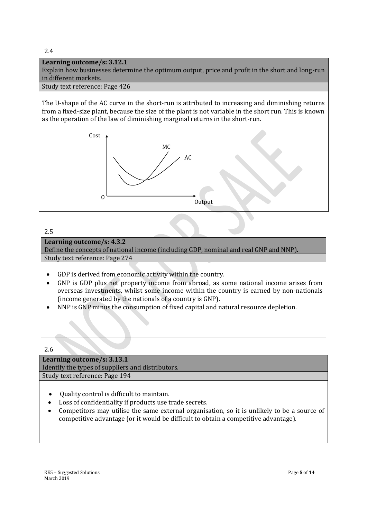#### 2.4

#### **Learning outcome/s: 3.12.1**

Explain how businesses determine the optimum output, price and profit in the short and long-run in different markets.

#### Study text reference: Page 426

The U-shape of the AC curve in the short-run is attributed to increasing and diminishing returns from a fixed-size plant, because the size of the plant is not variable in the short run. This is known as the operation of the law of diminishing marginal returns in the short-run.



#### 2.5

#### **Learning outcome/s: 4.3.2**

Define the concepts of national income (including GDP, nominal and real GNP and NNP). Study text reference: Page 274

- GDP is derived from economic activity within the country.
- GNP is GDP plus net property income from abroad, as some national income arises from overseas investments, whilst some income within the country is earned by non-nationals (income generated by the nationals of a country is GNP).
- NNP is GNP minus the consumption of fixed capital and natural resource depletion.

2.6

**Learning outcome/s: 3.13.1** Identify the types of suppliers and distributors. Study text reference: Page 194

- Quality control is difficult to maintain.
- Loss of confidentiality if products use trade secrets.
- Competitors may utilise the same external organisation, so it is unlikely to be a source of competitive advantage (or it would be difficult to obtain a competitive advantage).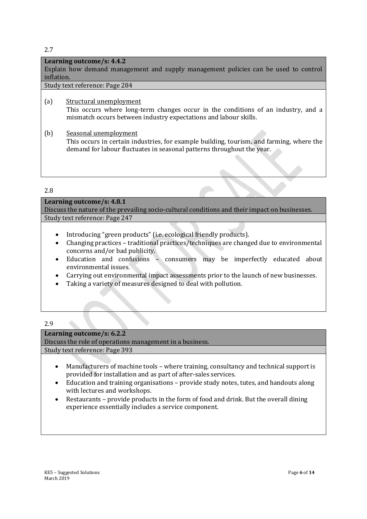#### 2.7

#### **Learning outcome/s: 4.4.2**

Explain how demand management and supply management policies can be used to control inflation.

Study text reference: Page 284

- (a) Structural unemployment This occurs where long-term changes occur in the conditions of an industry, and a mismatch occurs between industry expectations and labour skills.
- (b) Seasonal unemployment This occurs in certain industries, for example building, tourism, and farming, where the demand for labour fluctuates in seasonal patterns throughout the year.

#### 2.8

#### **Learning outcome/s: 4.8.1**

Discuss the nature of the prevailing socio-cultural conditions and their impact on businesses. Study text reference: Page 247

- Introducing "green products" (i.e. ecological friendly products).
- Changing practices traditional practices/techniques are changed due to environmental concerns and/or bad publicity.
- Education and confusions consumers may be imperfectly educated about environmental issues.
- Carrying out environmental impact assessments prior to the launch of new businesses.
- Taking a variety of measures designed to deal with pollution.

2.9

#### **Learning outcome/s: 6.2.2**

Discuss the role of operations management in a business.

Study text reference: Page 393

- Manufacturers of machine tools where training, consultancy and technical support is provided for installation and as part of after-sales services.
- Education and training organisations provide study notes, tutes, and handouts along with lectures and workshops.
- Restaurants provide products in the form of food and drink. But the overall dining experience essentially includes a service component.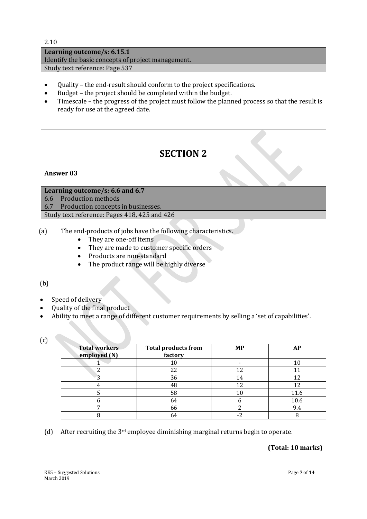2.10

**Learning outcome/s: 6.15.1** Identify the basic concepts of project management. Study text reference: Page 537

- Quality the end-result should conform to the project specifications.
- Budget the project should be completed within the budget.
- Timescale the progress of the project must follow the planned process so that the result is ready for use at the agreed date.

# **SECTION 2**

#### **Answer 03**

## **Learning outcome/s: 6.6 and 6.7** 6.6Production methods 6.7Production concepts in businesses.

Study text reference: Pages 418, 425 and 426

- (a) The end-products of jobs have the following characteristics.
	- They are one-off items
	- They are made to customer specific orders
	- Products are non-standard
	- The product range will be highly diverse

## (b)

- Speed of delivery
- Quality of the final product
- Ability to meet a range of different customer requirements by selling a 'set of capabilities'.

| P. |           |
|----|-----------|
|    |           |
|    | ۰,<br>$-$ |
|    | I         |

| <b>Total workers</b><br>employed (N) | <b>Total products from</b><br>factory | <b>MP</b> | AP   |
|--------------------------------------|---------------------------------------|-----------|------|
|                                      | 10                                    |           | 10   |
| ◠                                    | 22                                    | 12        |      |
| ึ                                    | 36                                    | 14        | 12   |
|                                      | 48                                    | 12        |      |
|                                      | 58                                    | 10        | 11.6 |
|                                      | 64                                    |           | 10.6 |
|                                      | 66                                    |           | 9.4  |
|                                      | 64                                    | ◠         |      |

(d) After recruiting the  $3<sup>rd</sup>$  employee diminishing marginal returns begin to operate.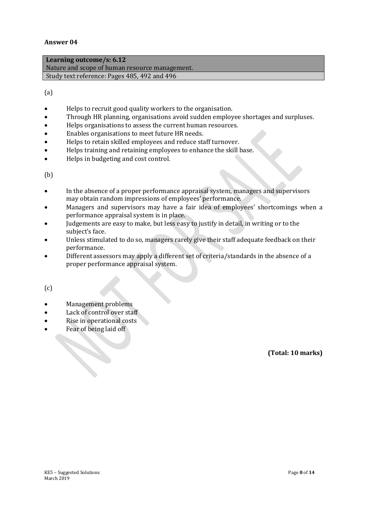**Learning outcome/s: 6.12** Nature and scope of human resource management. Study text reference: Pages 485, 492 and 496

(a)

- Helps to recruit good quality workers to the organisation.
- Through HR planning, organisations avoid sudden employee shortages and surpluses.
- Helps organisations to assess the current human resources.
- Enables organisations to meet future HR needs.
- Helps to retain skilled employees and reduce staff turnover.
- Helps training and retaining employees to enhance the skill base.
- Helps in budgeting and cost control.

(b)

- In the absence of a proper performance appraisal system, managers and supervisors may obtain random impressions of employees' performance.
- Managers and supervisors may have a fair idea of employees' shortcomings when a performance appraisal system is in place.
- Judgements are easy to make, but less easy to justify in detail, in writing or to the subject's face.
- Unless stimulated to do so, managers rarely give their staff adequate feedback on their performance.
- Different assessors may apply a different set of criteria/standards in the absence of a proper performance appraisal system.

(c)

- Management problems
- Lack of control over staff
- Rise in operational costs
- Fear of being laid off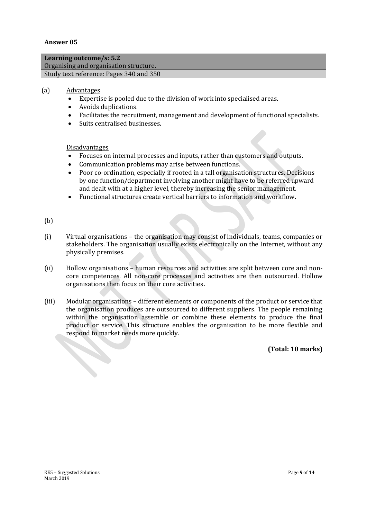| Learning outcome/s: $5.2$               |  |
|-----------------------------------------|--|
| Organising and organisation structure.  |  |
| Study text reference: Pages 340 and 350 |  |
|                                         |  |

#### (a) Advantages

- Expertise is pooled due to the division of work into specialised areas.
- Avoids duplications.
- Facilitates the recruitment, management and development of functional specialists.
- Suits centralised businesses.

#### Disadvantages

- Focuses on internal processes and inputs, rather than customers and outputs.
- Communication problems may arise between functions.
- Poor co-ordination, especially if rooted in a tall organisation structures. Decisions by one function/department involving another might have to be referred upward and dealt with at a higher level, thereby increasing the senior management.
- Functional structures create vertical barriers to information and workflow.

#### (b)

- (i) Virtual organisations the organisation may consist of individuals, teams, companies or stakeholders. The organisation usually exists electronically on the Internet, without any physically premises.
- (ii) Hollow organisations human resources and activities are split between core and noncore competences. All non-core processes and activities are then outsourced. Hollow organisations then focus on their core activities**.**
- (iii) Modular organisations different elements or components of the product or service that the organisation produces are outsourced to different suppliers. The people remaining within the organisation assemble or combine these elements to produce the final product or service. This structure enables the organisation to be more flexible and respond to market needs more quickly.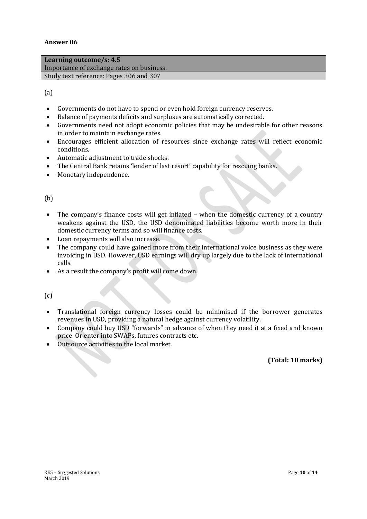| Learning outcome/s: $4.5$                 |
|-------------------------------------------|
| Importance of exchange rates on business. |
| Study text reference: Pages 306 and 307   |

#### (a)

- Governments do not have to spend or even hold foreign currency reserves.
- Balance of payments deficits and surpluses are automatically corrected.
- Governments need not adopt economic policies that may be undesirable for other reasons in order to maintain exchange rates.
- Encourages efficient allocation of resources since exchange rates will reflect economic conditions.
- Automatic adjustment to trade shocks.
- The Central Bank retains 'lender of last resort' capability for rescuing banks.
- Monetary independence.

#### (b)

- The company's finance costs will get inflated when the domestic currency of a country weakens against the USD, the USD denominated liabilities become worth more in their domestic currency terms and so will finance costs.
- Loan repayments will also increase.
- The company could have gained more from their international voice business as they were invoicing in USD. However, USD earnings will dry up largely due to the lack of international calls.
- As a result the company's profit will come down.

(c)

- Translational foreign currency losses could be minimised if the borrower generates revenues in USD, providing a natural hedge against currency volatility.
- Company could buy USD "forwards" in advance of when they need it at a fixed and known price. Or enter into SWAPs, futures contracts etc.
- Outsource activities to the local market.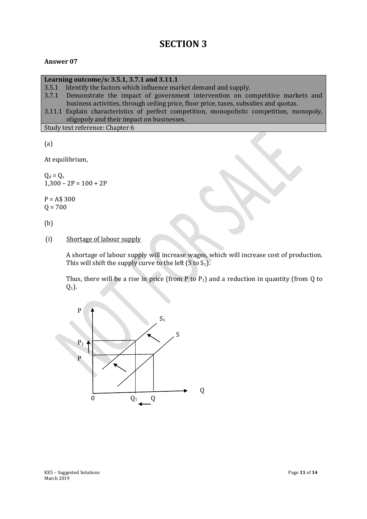# **SECTION 3**

#### **Answer 07**

#### **Learning outcome/s: 3.5.1, 3.7.1 and 3.11.1**

- 3.5.1Identify the factors which influence market demand and supply.
- 3.7.1Demonstrate the impact of government intervention on competitive markets and business activities, through ceiling price, floor price, taxes, subsidies and quotas.

3.11.1 Explain characteristics of perfect competition, monopolistic competition, monopoly, oligopoly and their impact on businesses.

Study text reference: Chapter 6

(a)

At equilibrium,

 $Q_d = Q_s$  $1,300 - 2P = 100 + 2P$ 

 $P = A$300$  $Q = 700$ 

(b)

(i) Shortage of labour supply

A shortage of labour supply will increase wages, which will increase cost of production. This will shift the supply curve to the left  $(S \text{ to } S_1)$ .

Thus, there will be a rise in price (from P to  $P_1$ ) and a reduction in quantity (from Q to  $Q_1$ ).

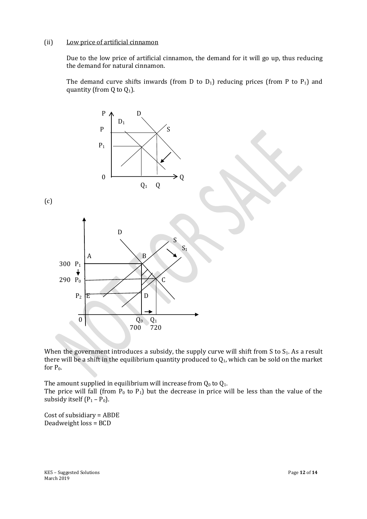#### (ii) Low price of artificial cinnamon

Due to the low price of artificial cinnamon, the demand for it will go up, thus reducing the demand for natural cinnamon.

The demand curve shifts inwards (from D to  $D_1$ ) reducing prices (from P to  $P_1$ ) and quantity (from Q to  $Q_1$ ).



When the government introduces a subsidy, the supply curve will shift from S to  $S_1$ . As a result there will be a shift in the equilibrium quantity produced to  $Q_1$ , which can be sold on the market for P0.

The amount supplied in equilibrium will increase from  $Q_0$  to  $Q_1$ . The price will fall (from  $P_0$  to  $P_1$ ) but the decrease in price will be less than the value of the subsidy itself  $(P_1 - P_0)$ .

Cost of subsidiary = ABDE Deadweight loss = BCD

KE5 – Suggested Solutions **Page 12** of 14 March 2019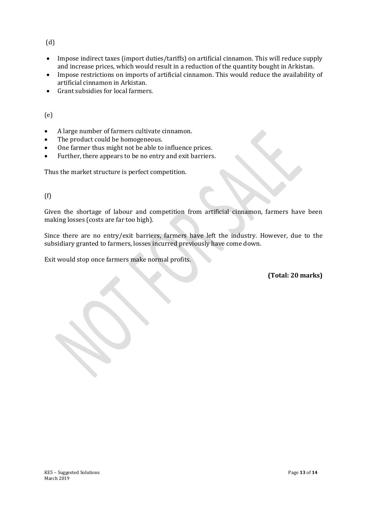(d)

- Impose indirect taxes (import duties/tariffs) on artificial cinnamon. This will reduce supply and increase prices, which would result in a reduction of the quantity bought in Arkistan.
- Impose restrictions on imports of artificial cinnamon. This would reduce the availability of artificial cinnamon in Arkistan.
- Grant subsidies for local farmers.

(e)

- A large number of farmers cultivate cinnamon.
- The product could be homogeneous.
- One farmer thus might not be able to influence prices.
- Further, there appears to be no entry and exit barriers.

Thus the market structure is perfect competition.

(f)

Given the shortage of labour and competition from artificial cinnamon, farmers have been making losses (costs are far too high).

Since there are no entry/exit barriers, farmers have left the industry. However, due to the subsidiary granted to farmers, losses incurred previously have come down.

Exit would stop once farmers make normal profits.